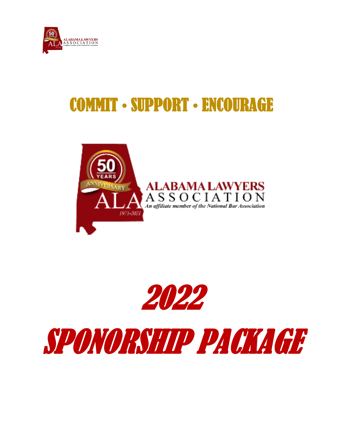

# COMMIT • SUPPORT • ENCOURAGE



2022

SPONORSHIP PACKAGE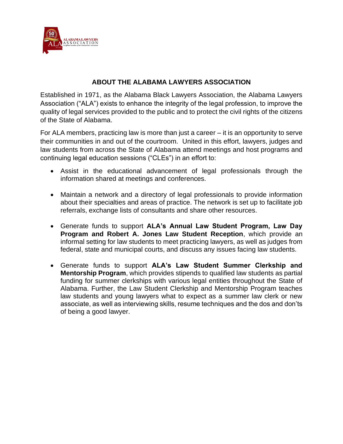

# **ABOUT THE ALABAMA LAWYERS ASSOCIATION**

Established in 1971, as the Alabama Black Lawyers Association, the Alabama Lawyers Association ("ALA") exists to enhance the integrity of the legal profession, to improve the quality of legal services provided to the public and to protect the civil rights of the citizens of the State of Alabama.

For ALA members, practicing law is more than just a career – it is an opportunity to serve their communities in and out of the courtroom. United in this effort, lawyers, judges and law students from across the State of Alabama attend meetings and host programs and continuing legal education sessions ("CLEs") in an effort to:

- Assist in the educational advancement of legal professionals through the information shared at meetings and conferences.
- Maintain a network and a directory of legal professionals to provide information about their specialties and areas of practice. The network is set up to facilitate job referrals, exchange lists of consultants and share other resources.
- Generate funds to support **ALA's Annual Law Student Program, Law Day Program and Robert A. Jones Law Student Reception**, which provide an informal setting for law students to meet practicing lawyers, as well as judges from federal, state and municipal courts, and discuss any issues facing law students.
- Generate funds to support **ALA's Law Student Summer Clerkship and Mentorship Program**, which provides stipends to qualified law students as partial funding for summer clerkships with various legal entities throughout the State of Alabama. Further, the Law Student Clerkship and Mentorship Program teaches law students and young lawyers what to expect as a summer law clerk or new associate, as well as interviewing skills, resume techniques and the dos and don'ts of being a good lawyer.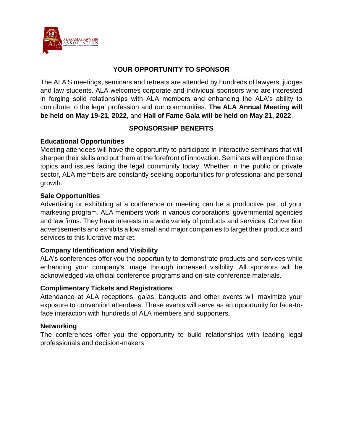

# **YOUR OPPORTUNITY TO SPONSOR**

The ALA'S meetings, seminars and retreats are attended by hundreds of lawyers, judges and law students. ALA welcomes corporate and individual sponsors who are interested in forging solid relationships with ALA members and enhancing the ALA's ability to contribute to the legal profession and our communities. **The ALA Annual Meeting will be held on May 19-21, 2022**, and **Hall of Fame Gala will be held on May 21, 2022**.

# **SPONSORSHIP BENEFITS**

# **Educational Opportunities**

Meeting attendees will have the opportunity to participate in interactive seminars that will sharpen their skills and put them at the forefront of innovation. Seminars will explore those topics and issues facing the legal community today. Whether in the public or private sector, ALA members are constantly seeking opportunities for professional and personal growth.

# **Sale Opportunities**

Advertising or exhibiting at a conference or meeting can be a productive part of your marketing program. ALA members work in various corporations, governmental agencies and law firms. They have interests in a wide variety of products and services. Convention advertisements and exhibits allow small and major companies to target their products and services to this lucrative market.

# **Company Identification and Visibility**

ALA's conferences offer you the opportunity to demonstrate products and services while enhancing your company's image through increased visibility. All sponsors will be acknowledged via official conference programs and on-site conference materials.

# **Complimentary Tickets and Registrations**

Attendance at ALA receptions, galas, banquets and other events will maximize your exposure to convention attendees. These events will serve as an opportunity for face-toface interaction with hundreds of ALA members and supporters.

# **Networking**

The conferences offer you the opportunity to build relationships with leading legal professionals and decision-makers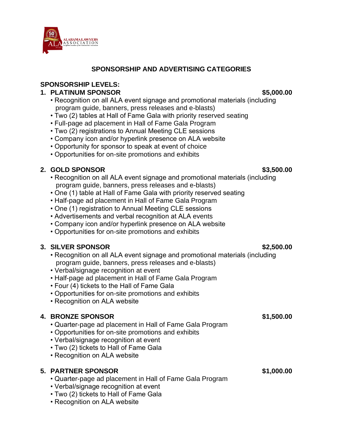

# **SPONSORSHIP AND ADVERTISING CATEGORIES**

# **SPONSORSHIP LEVELS:**

# **1. PLATINUM SPONSOR \$5,000.00**

- Recognition on all ALA event signage and promotional materials (including program guide, banners, press releases and e-blasts)
- Two (2) tables at Hall of Fame Gala with priority reserved seating
- Full-page ad placement in Hall of Fame Gala Program
- Two (2) registrations to Annual Meeting CLE sessions
- Company icon and/or hyperlink presence on ALA website
- Opportunity for sponsor to speak at event of choice
- Opportunities for on-site promotions and exhibits

# **2. GOLD SPONSOR \$3,500.00**

- Recognition on all ALA event signage and promotional materials (including program guide, banners, press releases and e-blasts)
- One (1) table at Hall of Fame Gala with priority reserved seating
- Half-page ad placement in Hall of Fame Gala Program
- One (1) registration to Annual Meeting CLE sessions
- Advertisements and verbal recognition at ALA events
- Company icon and/or hyperlink presence on ALA website
- Opportunities for on-site promotions and exhibits

# **3. SILVER SPONSOR \$2,500.00**

- Recognition on all ALA event signage and promotional materials (including program guide, banners, press releases and e-blasts)
- Verbal/signage recognition at event
- Half-page ad placement in Hall of Fame Gala Program
- Four (4) tickets to the Hall of Fame Gala
- Opportunities for on-site promotions and exhibits
- Recognition on ALA website

# **4. BRONZE SPONSOR \$1,500.00**

- Quarter-page ad placement in Hall of Fame Gala Program
- Opportunities for on-site promotions and exhibits
- Verbal/signage recognition at event
- Two (2) tickets to Hall of Fame Gala
- Recognition on ALA website

# **5. PARTNER SPONSOR \$1,000.00**

- Quarter-page ad placement in Hall of Fame Gala Program
- Verbal/signage recognition at event
- Two (2) tickets to Hall of Fame Gala
- Recognition on ALA website